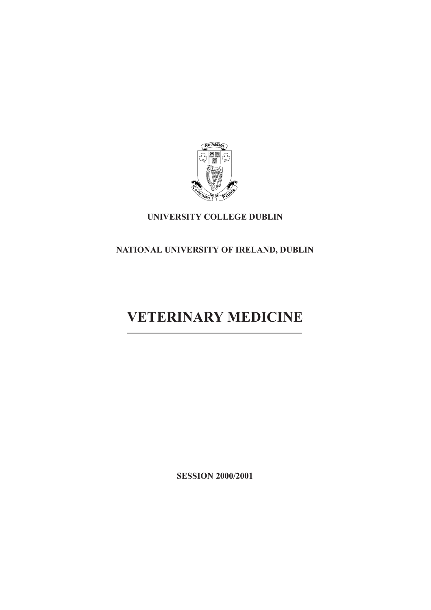

# **UNIVERSITY COLLEGE DUBLIN**

# **NATIONAL UNIVERSITY OF IRELAND, DUBLIN**

# **VETERINARY MEDICINE**

**SESSION 2000/2001**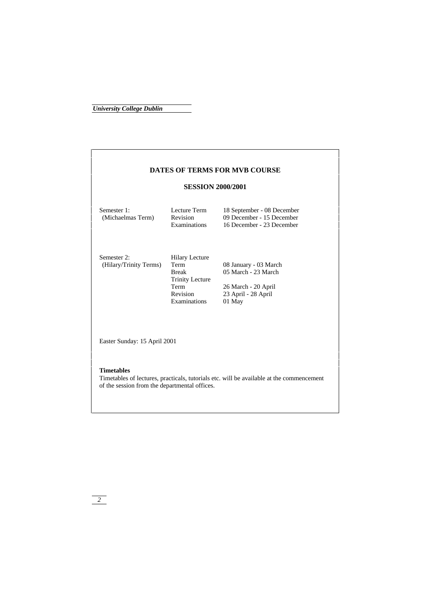# **DATES OF TERMS FOR MVB COURSE SESSION 2000/2001** Semester 1: Lecture Term 18 September - 08 December (Michaelmas Term) Revision 09 December - 15 December Revision 09 December - 15 December<br>Examinations 16 December - 23 December 16 December - 23 December Semester 2: Hilary Lecture<br>(Hilary/Trinity Terms) Term (Hilary/Trinity Terms) Term<br>Break 08 January - 03 March<br>05 March - 23 March Trinity Lecture Term 26 March - 20 April<br>Revision 23 April - 28 April 23 April - 28 April<br>01 May **Examinations**  Easter Sunday: 15 April 2001  **Timetables**  Timetables of lectures, practicals, tutorials etc. will be available at the commencement of the session from the departmental offices.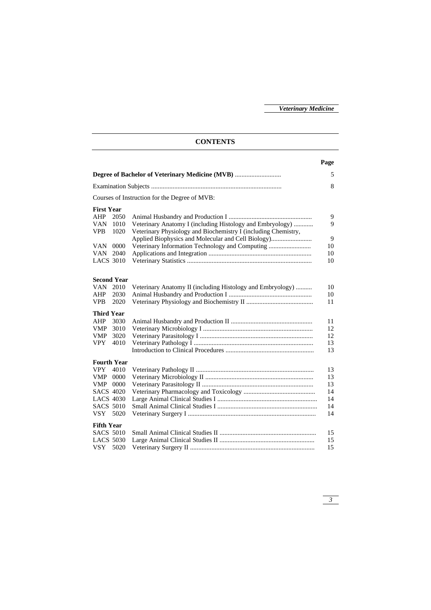## **CONTENTS Page Degree of Bachelor of Veterinary Medicine (MVB)** ............................ 5 Examination Subjects ............................................................................... 8 Courses of Instruction for the Degree of MVB: **First Year**  AHP 2050 Animal Husbandry and Production I ................................................... 9 VAN 1010 Veterinary Anatomy I (including Histology and Embryology) ............ 9 VPB 1020 Veterinary Physiology and Biochemistry I (including Chemistry, Applied Biophysics and Molecular and Cell Biology)......................... 9 VAN 0000 Veterinary Information Technology and Computing .......................... 10 VAN 2040 Applications and Integration ............................................................... 10 LACS 3010 Veterinary Statistics ............................................................................ 10 **Second Year**  VAN 2010 Veterinary Anatomy II (including Histology and Embryology) .......... 10 AHP 2030 Animal Husbandry and Production I ................................................... 10 VPB 2020 Veterinary Physiology and Biochemistry II ......................................... 11 **Third Year**  AHP 3030 Animal Husbandry and Production II .................................................. 11 VMP 3010 Veterinary Microbiology I ................................................................... 12 VMP 3020 Veterinary Parasitology I ..................................................................... 12 VPY 4010 Veterinary Pathology I ......................................................................... 13 Introduction to Clinical Procedures ...................................................... 13 **Fourth Year**  VPY 4010 Veterinary Pathology II ........................................................................ 13 VMP 0000 Veterinary Microbiology II .................................................................. 13 VMP 0000 Veterinary Parasitology II .................................................................... 13 SACS 4020 Veterinary Pharmacology and Toxicology ............................................ 14 LACS 4030 Large Animal Clinical Studies I ............................................................. 14 SACS 5010 Small Animal Clinical Studies I ............................................................. 14 VSY 5020 Veterinary Surgery I .............................................................................. 14 **Fifth Year**  SACS 5010 Small Animal Clinical Studies II ........................................................... 15 LACS 5030 Large Animal Clinical Studies II .......................................................... 15 VSY 5020 Veterinary Surgery II ............................................................................ 15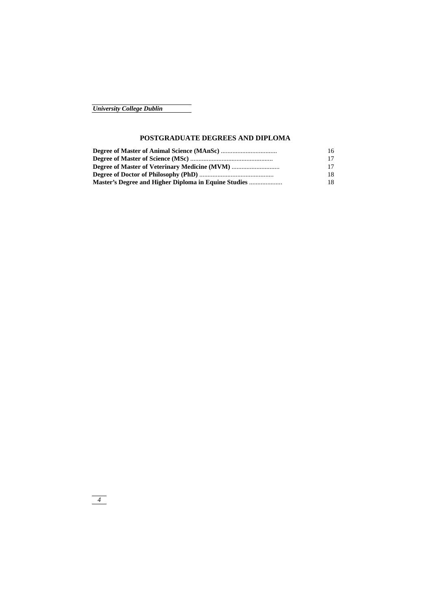## **POSTGRADUATE DEGREES AND DIPLOMA**

| 16  |
|-----|
| 17  |
| 17  |
| 18  |
| 18. |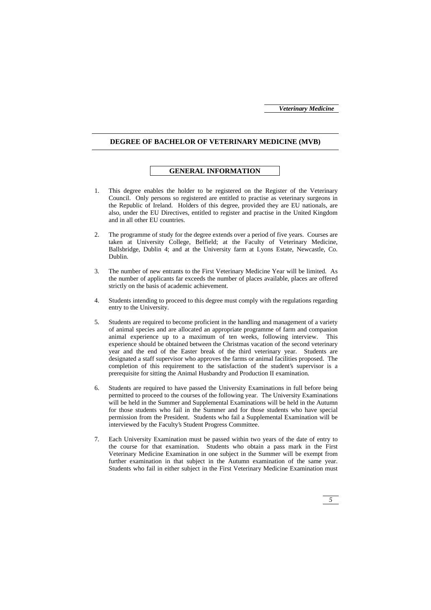#### **DEGREE OF BACHELOR OF VETERINARY MEDICINE (MVB)**

## **GENERAL INFORMATION**

- 1. This degree enables the holder to be registered on the Register of the Veterinary Council. Only persons so registered are entitled to practise as veterinary surgeons in the Republic of Ireland. Holders of this degree, provided they are EU nationals, are also, under the EU Directives, entitled to register and practise in the United Kingdom and in all other EU countries.
- 2. The programme of study for the degree extends over a period of five years. Courses are taken at University College, Belfield; at the Faculty of Veterinary Medicine, Ballsbridge, Dublin 4; and at the University farm at Lyons Estate, Newcastle, Co. Dublin.
- 3. The number of new entrants to the First Veterinary Medicine Year will be limited. As the number of applicants far exceeds the number of places available, places are offered strictly on the basis of academic achievement.
- 4. Students intending to proceed to this degree must comply with the regulations regarding entry to the University.
- 5. Students are required to become proficient in the handling and management of a variety of animal species and are allocated an appropriate programme of farm and companion animal experience up to a maximum of ten weeks, following interview. This experience should be obtained between the Christmas vacation of the second veterinary year and the end of the Easter break of the third veterinary year. Students are designated a staff supervisor who approves the farms or animal facilities proposed. The completion of this requirement to the satisfaction of the student's supervisor is a prerequisite for sitting the Animal Husbandry and Production II examination.
- 6. Students are required to have passed the University Examinations in full before being permitted to proceed to the courses of the following year. The University Examinations will be held in the Summer and Supplemental Examinations will be held in the Autumn for those students who fail in the Summer and for those students who have special permission from the President. Students who fail a Supplemental Examination will be interviewed by the Faculty's Student Progress Committee.
- 7. Each University Examination must be passed within two years of the date of entry to the course for that examination. Students who obtain a pass mark in the First Veterinary Medicine Examination in one subject in the Summer will be exempt from further examination in that subject in the Autumn examination of the same year. Students who fail in either subject in the First Veterinary Medicine Examination must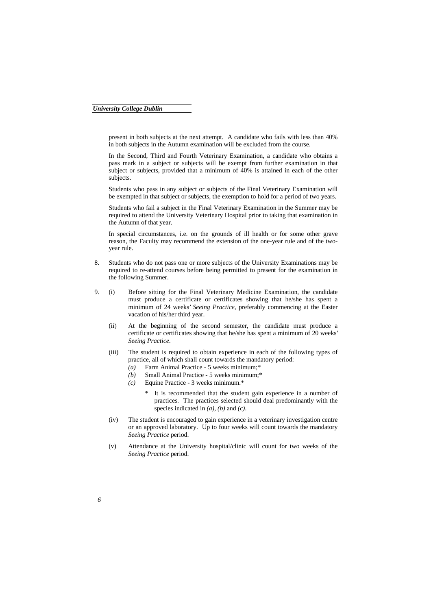present in both subjects at the next attempt. A candidate who fails with less than 40% in both subjects in the Autumn examination will be excluded from the course.

 In the Second, Third and Fourth Veterinary Examination, a candidate who obtains a pass mark in a subject or subjects will be exempt from further examination in that subject or subjects, provided that a minimum of 40% is attained in each of the other subjects.

 Students who pass in any subject or subjects of the Final Veterinary Examination will be exempted in that subject or subjects, the exemption to hold for a period of two years.

 Students who fail a subject in the Final Veterinary Examination in the Summer may be required to attend the University Veterinary Hospital prior to taking that examination in the Autumn of that year.

 In special circumstances, i.e. on the grounds of ill health or for some other grave reason, the Faculty may recommend the extension of the one-year rule and of the twoyear rule.

- 8. Students who do not pass one or more subjects of the University Examinations may be required to re-attend courses before being permitted to present for the examination in the following Summer.
- 9. (i) Before sitting for the Final Veterinary Medicine Examination, the candidate must produce a certificate or certificates showing that he/she has spent a minimum of 24 weeks' *Seeing Practice*, preferably commencing at the Easter vacation of his/her third year.
	- (ii) At the beginning of the second semester, the candidate must produce a certificate or certificates showing that he/she has spent a minimum of 20 weeks' *Seeing Practice*.
	- (iii) The student is required to obtain experience in each of the following types of practice, all of which shall count towards the mandatory period:
		- *(a)* Farm Animal Practice 5 weeks minimum;\*
		- *(b)* Small Animal Practice 5 weeks minimum;\*
		- *(c)* Equine Practice 3 weeks minimum.\*
			- It is recommended that the student gain experience in a number of practices. The practices selected should deal predominantly with the species indicated in *(a)*, *(b)* and *(c)*.
	- (iv) The student is encouraged to gain experience in a veterinary investigation centre or an approved laboratory. Up to four weeks will count towards the mandatory *Seeing Practice* period.
	- (v) Attendance at the University hospital/clinic will count for two weeks of the *Seeing Practice* period.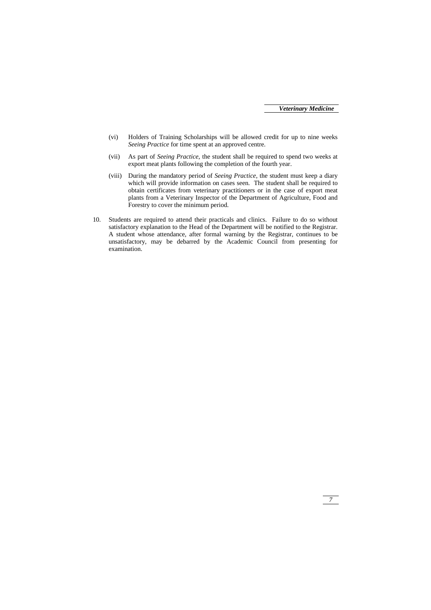- (vi) Holders of Training Scholarships will be allowed credit for up to nine weeks *Seeing Practice* for time spent at an approved centre.
- (vii) As part of *Seeing Practice*, the student shall be required to spend two weeks at export meat plants following the completion of the fourth year.
- (viii) During the mandatory period of *Seeing Practice*, the student must keep a diary which will provide information on cases seen. The student shall be required to obtain certificates from veterinary practitioners or in the case of export meat plants from a Veterinary Inspector of the Department of Agriculture, Food and Forestry to cover the minimum period.
- 10. Students are required to attend their practicals and clinics. Failure to do so without satisfactory explanation to the Head of the Department will be notified to the Registrar. A student whose attendance, after formal warning by the Registrar, continues to be unsatisfactory, may be debarred by the Academic Council from presenting for examination.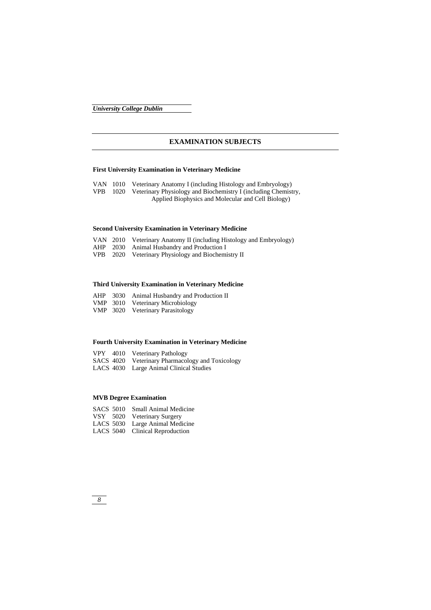## **EXAMINATION SUBJECTS**

## **First University Examination in Veterinary Medicine**

VAN 1010 Veterinary Anatomy I (including Histology and Embryology) VPB 1020 Veterinary Physiology and Biochemistry I (including Chemistry, Applied Biophysics and Molecular and Cell Biology)

## **Second University Examination in Veterinary Medicine**

|  | VAN 2010 Veterinary Anatomy II (including Histology and Embryology) |
|--|---------------------------------------------------------------------|
|  | AHP 2030 Animal Husbandry and Production I                          |
|  | VPB 2020 Veterinary Physiology and Biochemistry II                  |

## **Third University Examination in Veterinary Medicine**

|  | AHP 3030 Animal Husbandry and Production II |
|--|---------------------------------------------|
|  | VMP 3010 Veterinary Microbiology            |

VMP 3020 Veterinary Parasitology

## **Fourth University Examination in Veterinary Medicine**

|  | VPY 4010 Veterinary Pathology                    |
|--|--------------------------------------------------|
|  | SACS 4020 Veterinary Pharmacology and Toxicology |
|  | LACS 4030 Large Animal Clinical Studies          |

## **MVB Degree Examination**

| SACS 5010 Small Animal Medicine |
|---------------------------------|
| VSY 5020 Veterinary Surgery     |
| LACS 5030 Large Animal Medicine |
| LACS 5040 Clinical Reproduction |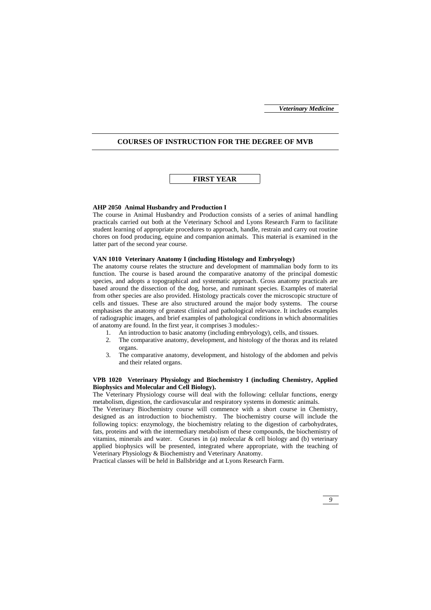#### **COURSES OF INSTRUCTION FOR THE DEGREE OF MVB**

## **FIRST YEAR**

#### **AHP 2050 Animal Husbandry and Production I**

The course in Animal Husbandry and Production consists of a series of animal handling practicals carried out both at the Veterinary School and Lyons Research Farm to facilitate student learning of appropriate procedures to approach, handle, restrain and carry out routine chores on food producing, equine and companion animals. This material is examined in the latter part of the second year course.

#### **VAN 1010 Veterinary Anatomy I (including Histology and Embryology)**

The anatomy course relates the structure and development of mammalian body form to its function. The course is based around the comparative anatomy of the principal domestic species, and adopts a topographical and systematic approach. Gross anatomy practicals are based around the dissection of the dog, horse, and ruminant species. Examples of material from other species are also provided. Histology practicals cover the microscopic structure of cells and tissues. These are also structured around the major body systems. The course emphasises the anatomy of greatest clinical and pathological relevance. It includes examples of radiographic images, and brief examples of pathological conditions in which abnormalities of anatomy are found. In the first year, it comprises 3 modules:-

- 1. An introduction to basic anatomy (including embryology), cells, and tissues.
- 2. The comparative anatomy, development, and histology of the thorax and its related organs.
- 3. The comparative anatomy, development, and histology of the abdomen and pelvis and their related organs.

#### **VPB 1020 Veterinary Physiology and Biochemistry I (including Chemistry, Applied Biophysics and Molecular and Cell Biology).**

The Veterinary Physiology course will deal with the following: cellular functions, energy metabolism, digestion, the cardiovascular and respiratory systems in domestic animals.

The Veterinary Biochemistry course will commence with a short course in Chemistry, designed as an introduction to biochemistry. The biochemistry course will include the following topics: enzymology, the biochemistry relating to the digestion of carbohydrates, fats, proteins and with the intermediary metabolism of these compounds, the biochemistry of vitamins, minerals and water. Courses in (a) molecular  $\&$  cell biology and (b) veterinary applied biophysics will be presented, integrated where appropriate, with the teaching of Veterinary Physiology & Biochemistry and Veterinary Anatomy.

Practical classes will be held in Ballsbridge and at Lyons Research Farm.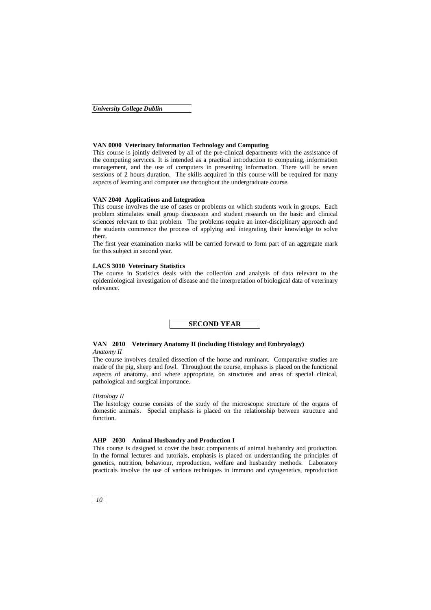#### **VAN 0000 Veterinary Information Technology and Computing**

This course is jointly delivered by all of the pre-clinical departments with the assistance of the computing services. It is intended as a practical introduction to computing, information management, and the use of computers in presenting information. There will be seven sessions of 2 hours duration. The skills acquired in this course will be required for many aspects of learning and computer use throughout the undergraduate course.

#### **VAN 2040 Applications and Integration**

This course involves the use of cases or problems on which students work in groups. Each problem stimulates small group discussion and student research on the basic and clinical sciences relevant to that problem. The problems require an inter-disciplinary approach and the students commence the process of applying and integrating their knowledge to solve them.

The first year examination marks will be carried forward to form part of an aggregate mark for this subject in second year.

#### **LACS 3010 Veterinary Statistics**

The course in Statistics deals with the collection and analysis of data relevant to the epidemiological investigation of disease and the interpretation of biological data of veterinary relevance.

**SECOND YEAR** 

#### **VAN 2010 Veterinary Anatomy II (including Histology and Embryology)**  *Anatomy II*

The course involves detailed dissection of the horse and ruminant. Comparative studies are made of the pig, sheep and fowl. Throughout the course, emphasis is placed on the functional aspects of anatomy, and where appropriate, on structures and areas of special clinical, pathological and surgical importance.

#### *Histology II*

The histology course consists of the study of the microscopic structure of the organs of domestic animals. Special emphasis is placed on the relationship between structure and function.

#### **AHP 2030 Animal Husbandry and Production I**

This course is designed to cover the basic components of animal husbandry and production. In the formal lectures and tutorials, emphasis is placed on understanding the principles of genetics, nutrition, behaviour, reproduction, welfare and husbandry methods. Laboratory practicals involve the use of various techniques in immuno and cytogenetics, reproduction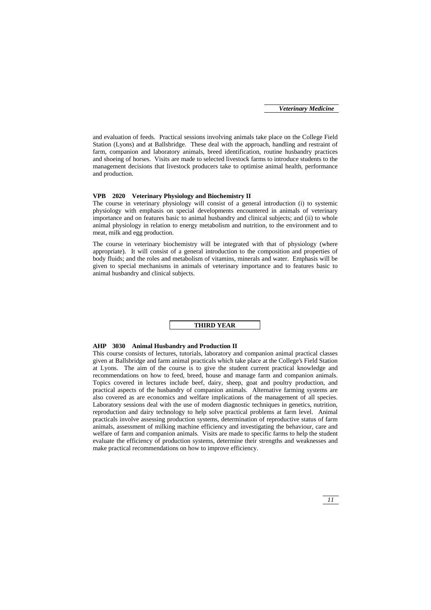and evaluation of feeds. Practical sessions involving animals take place on the College Field Station (Lyons) and at Ballsbridge. These deal with the approach, handling and restraint of farm, companion and laboratory animals, breed identification, routine husbandry practices and shoeing of horses. Visits are made to selected livestock farms to introduce students to the management decisions that livestock producers take to optimise animal health, performance and production.

#### **VPB 2020 Veterinary Physiology and Biochemistry II**

The course in veterinary physiology will consist of a general introduction (i) to systemic physiology with emphasis on special developments encountered in animals of veterinary importance and on features basic to animal husbandry and clinical subjects; and (ii) to whole animal physiology in relation to energy metabolism and nutrition, to the environment and to meat, milk and egg production.

The course in veterinary biochemistry will be integrated with that of physiology (where appropriate). It will consist of a general introduction to the composition and properties of body fluids; and the roles and metabolism of vitamins, minerals and water. Emphasis will be given to special mechanisms in animals of veterinary importance and to features basic to animal husbandry and clinical subjects.



## **AHP 3030 Animal Husbandry and Production II**

This course consists of lectures, tutorials, laboratory and companion animal practical classes given at Ballsbridge and farm animal practicals which take place at the College's Field Station at Lyons. The aim of the course is to give the student current practical knowledge and recommendations on how to feed, breed, house and manage farm and companion animals. Topics covered in lectures include beef, dairy, sheep, goat and poultry production, and practical aspects of the husbandry of companion animals. Alternative farming systems are also covered as are economics and welfare implications of the management of all species. Laboratory sessions deal with the use of modern diagnostic techniques in genetics, nutrition, reproduction and dairy technology to help solve practical problems at farm level. Animal practicals involve assessing production systems, determination of reproductive status of farm animals, assessment of milking machine efficiency and investigating the behaviour, care and welfare of farm and companion animals. Visits are made to specific farms to help the student evaluate the efficiency of production systems, determine their strengths and weaknesses and make practical recommendations on how to improve efficiency.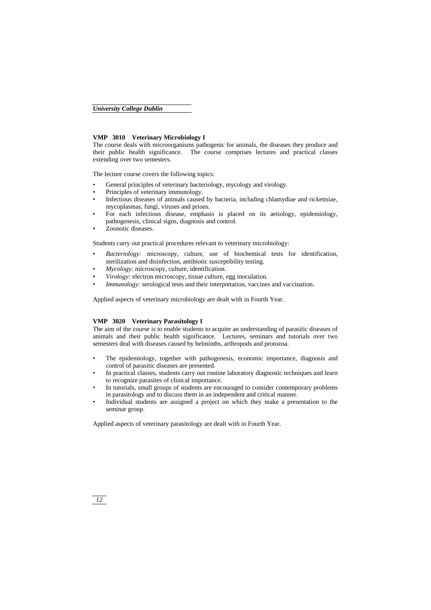#### **VMP 3010 Veterinary Microbiology I**

The course deals with microorganisms pathogenic for animals, the diseases they produce and their public health significance. The course comprises lectures and practical classes extending over two semesters.

The lecture course covers the following topics:

- General principles of veterinary bacteriology, mycology and virology.
- Principles of veterinary immunology.
- Infectious diseases of animals caused by bacteria, including chlamydiae and rickettsiae, mycoplasmas, fungi, viruses and prions.
- For each infectious disease, emphasis is placed on its aetiology, epidemiology, pathogenesis, clinical signs, diagnosis and control.
- Zoonotic diseases.

Students carry out practical procedures relevant to veterinary microbiology:

- *Bacteriology:* microscopy, culture, use of biochemical tests for identification, sterilization and disinfection, antibiotic susceptibility testing.
- *Mycology:* microscopy, culture, identification.
- *Virology:* electron microscopy, tissue culture, egg inoculation.
- *Immunology:* serological tests and their interpretation, vaccines and vaccination.

Applied aspects of veterinary microbiology are dealt with in Fourth Year.

#### **VMP 3020 Veterinary Parasitology I**

The aim of the course is to enable students to acquire an understanding of parasitic diseases of animals and their public health significance. Lectures, seminars and tutorials over two semesters deal with diseases caused by helminths, arthropods and protozoa.

- The epidemiology, together with pathogenesis, economic importance, diagnosis and control of parasitic diseases are presented.
- In practical classes, students carry out routine laboratory diagnostic techniques and learn to recognize parasites of clinical importance.
- In tutorials, small groups of students are encouraged to consider contemporary problems in parasitology and to discuss them in an independent and critical manner.
- Individual students are assigned a project on which they make a presentation to the seminar group.

Applied aspects of veterinary parasitology are dealt with in Fourth Year.

*12*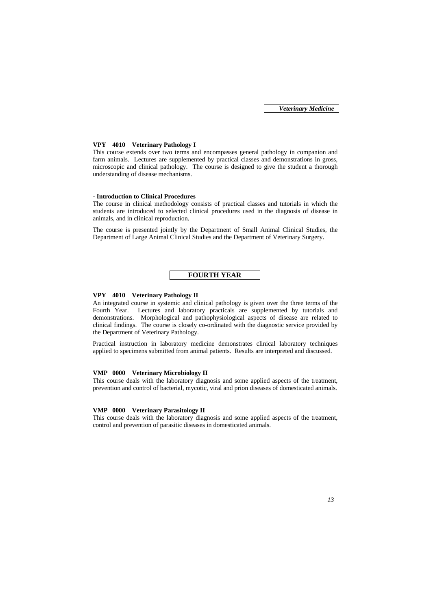#### **VPY 4010 Veterinary Pathology I**

This course extends over two terms and encompasses general pathology in companion and farm animals. Lectures are supplemented by practical classes and demonstrations in gross, microscopic and clinical pathology. The course is designed to give the student a thorough understanding of disease mechanisms.

#### **- Introduction to Clinical Procedures**

The course in clinical methodology consists of practical classes and tutorials in which the students are introduced to selected clinical procedures used in the diagnosis of disease in animals, and in clinical reproduction.

The course is presented jointly by the Department of Small Animal Clinical Studies, the Department of Large Animal Clinical Studies and the Department of Veterinary Surgery.

## **FOURTH YEAR**

#### **VPY 4010 Veterinary Pathology II**

An integrated course in systemic and clinical pathology is given over the three terms of the Fourth Year. Lectures and laboratory practicals are supplemented by tutorials and demonstrations. Morphological and pathophysiological aspects of disease are related to clinical findings. The course is closely co-ordinated with the diagnostic service provided by the Department of Veterinary Pathology.

Practical instruction in laboratory medicine demonstrates clinical laboratory techniques applied to specimens submitted from animal patients. Results are interpreted and discussed.

#### **VMP 0000 Veterinary Microbiology II**

This course deals with the laboratory diagnosis and some applied aspects of the treatment, prevention and control of bacterial, mycotic, viral and prion diseases of domesticated animals.

#### **VMP 0000 Veterinary Parasitology II**

This course deals with the laboratory diagnosis and some applied aspects of the treatment, control and prevention of parasitic diseases in domesticated animals.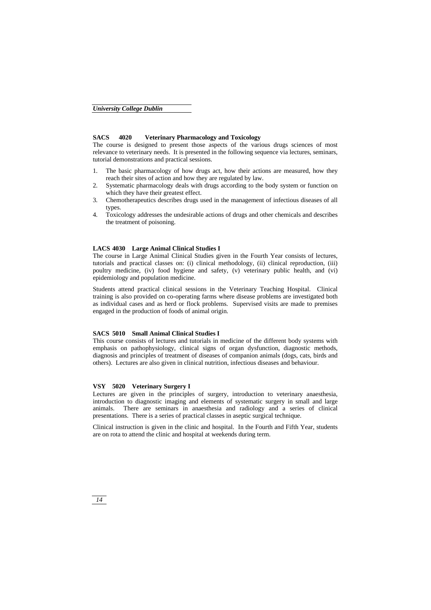## **SACS 4020 Veterinary Pharmacology and Toxicology**

The course is designed to present those aspects of the various drugs sciences of most relevance to veterinary needs. It is presented in the following sequence via lectures, seminars, tutorial demonstrations and practical sessions.

- 1. The basic pharmacology of how drugs act, how their actions are measured, how they reach their sites of action and how they are regulated by law.
- 2. Systematic pharmacology deals with drugs according to the body system or function on which they have their greatest effect.
- 3. Chemotherapeutics describes drugs used in the management of infectious diseases of all types.
- 4. Toxicology addresses the undesirable actions of drugs and other chemicals and describes the treatment of poisoning.

#### **LACS 4030 Large Animal Clinical Studies I**

The course in Large Animal Clinical Studies given in the Fourth Year consists of lectures, tutorials and practical classes on: (i) clinical methodology, (ii) clinical reproduction, (iii) poultry medicine, (iv) food hygiene and safety, (v) veterinary public health, and (vi) epidemiology and population medicine.

Students attend practical clinical sessions in the Veterinary Teaching Hospital. Clinical training is also provided on co-operating farms where disease problems are investigated both as individual cases and as herd or flock problems. Supervised visits are made to premises engaged in the production of foods of animal origin.

#### **SACS 5010 Small Animal Clinical Studies I**

This course consists of lectures and tutorials in medicine of the different body systems with emphasis on pathophysiology, clinical signs of organ dysfunction, diagnostic methods, diagnosis and principles of treatment of diseases of companion animals (dogs, cats, birds and others). Lectures are also given in clinical nutrition, infectious diseases and behaviour.

#### **VSY 5020 Veterinary Surgery I**

Lectures are given in the principles of surgery, introduction to veterinary anaesthesia, introduction to diagnostic imaging and elements of systematic surgery in small and large animals. There are seminars in anaesthesia and radiology and a series of clinical presentations. There is a series of practical classes in aseptic surgical technique.

Clinical instruction is given in the clinic and hospital. In the Fourth and Fifth Year, students are on rota to attend the clinic and hospital at weekends during term.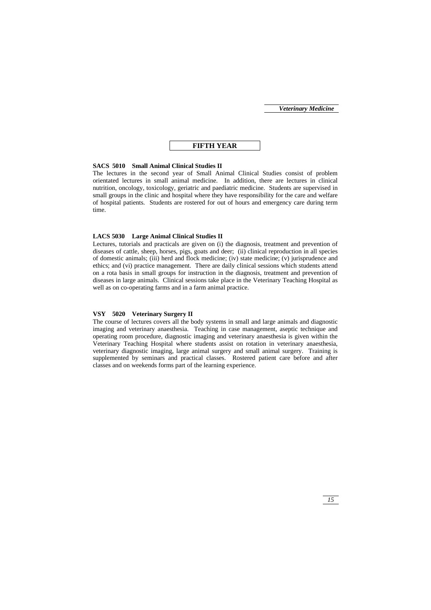## **FIFTH YEAR**

#### **SACS 5010 Small Animal Clinical Studies II**

The lectures in the second year of Small Animal Clinical Studies consist of problem orientated lectures in small animal medicine. In addition, there are lectures in clinical nutrition, oncology, toxicology, geriatric and paediatric medicine. Students are supervised in small groups in the clinic and hospital where they have responsibility for the care and welfare of hospital patients. Students are rostered for out of hours and emergency care during term time.

#### **LACS 5030 Large Animal Clinical Studies II**

Lectures, tutorials and practicals are given on (i) the diagnosis, treatment and prevention of diseases of cattle, sheep, horses, pigs, goats and deer; (ii) clinical reproduction in all species of domestic animals; (iii) herd and flock medicine; (iv) state medicine; (v) jurisprudence and ethics; and (vi) practice management. There are daily clinical sessions which students attend on a rota basis in small groups for instruction in the diagnosis, treatment and prevention of diseases in large animals. Clinical sessions take place in the Veterinary Teaching Hospital as well as on co-operating farms and in a farm animal practice.

## **VSY 5020 Veterinary Surgery II**

The course of lectures covers all the body systems in small and large animals and diagnostic imaging and veterinary anaesthesia. Teaching in case management, aseptic technique and operating room procedure, diagnostic imaging and veterinary anaesthesia is given within the Veterinary Teaching Hospital where students assist on rotation in veterinary anaesthesia, veterinary diagnostic imaging, large animal surgery and small animal surgery. Training is supplemented by seminars and practical classes. Rostered patient care before and after classes and on weekends forms part of the learning experience.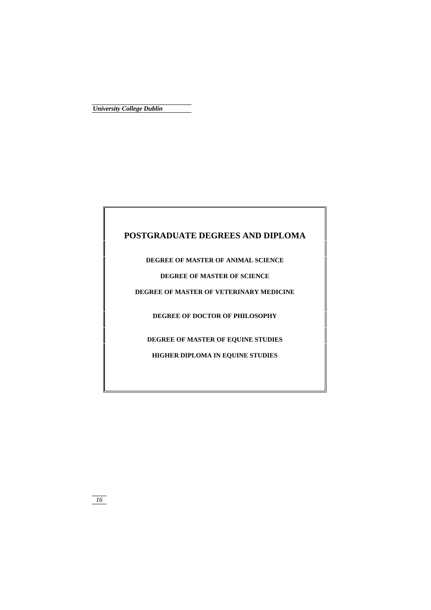## **POSTGRADUATE DEGREES AND DIPLOMA**

**DEGREE OF MASTER OF ANIMAL SCIENCE** 

**DEGREE OF MASTER OF SCIENCE** 

**DEGREE OF MASTER OF VETERINARY MEDICINE** 

**DEGREE OF DOCTOR OF PHILOSOPHY** 

**DEGREE OF MASTER OF EQUINE STUDIES** 

**HIGHER DIPLOMA IN EQUINE STUDIES**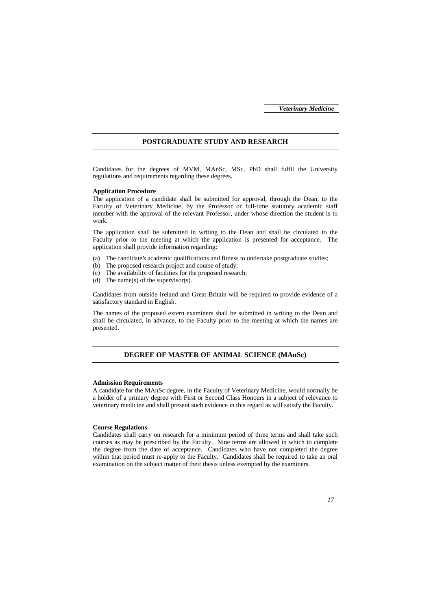#### **POSTGRADUATE STUDY AND RESEARCH**

Candidates for the degrees of MVM, MAnSc, MSc, PhD shall fulfil the University regulations and requirements regarding these degrees.

#### **Application Procedure**

The application of a candidate shall be submitted for approval, through the Dean, to the Faculty of Veterinary Medicine, by the Professor or full-time statutory academic staff member with the approval of the relevant Professor, under whose direction the student is to work.

The application shall be submitted in writing to the Dean and shall be circulated to the Faculty prior to the meeting at which the application is presented for acceptance. The application shall provide information regarding:

- (a) The candidate's academic qualifications and fitness to undertake postgraduate studies;
- (b) The proposed research project and course of study;
- (c) The availability of facilities for the proposed research;
- (d) The name(s) of the supervisor(s).

Candidates from outside Ireland and Great Britain will be required to provide evidence of a satisfactory standard in English.

The names of the proposed extern examiners shall be submitted in writing to the Dean and shall be circulated, in advance, to the Faculty prior to the meeting at which the names are presented.

## **DEGREE OF MASTER OF ANIMAL SCIENCE (MAnSc)**

#### **Admission Requirements**

A candidate for the MAnSc degree, in the Faculty of Veterinary Medicine, would normally be a holder of a primary degree with First or Second Class Honours in a subject of relevance to veterinary medicine and shall present such evidence in this regard as will satisfy the Faculty.

#### **Course Regulations**

Candidates shall carry on research for a minimum period of three terms and shall take such courses as may be prescribed by the Faculty. Nine terms are allowed in which to complete the degree from the date of acceptance. Candidates who have not completed the degree within that period must re-apply to the Faculty. Candidates shall be required to take an oral examination on the subject matter of their thesis unless exempted by the examiners.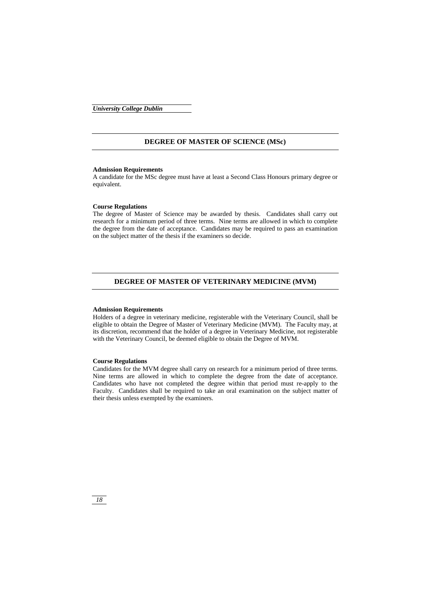#### **DEGREE OF MASTER OF SCIENCE (MSc)**

#### **Admission Requirements**

A candidate for the MSc degree must have at least a Second Class Honours primary degree or equivalent.

#### **Course Regulations**

The degree of Master of Science may be awarded by thesis. Candidates shall carry out research for a minimum period of three terms. Nine terms are allowed in which to complete the degree from the date of acceptance. Candidates may be required to pass an examination on the subject matter of the thesis if the examiners so decide.

#### **DEGREE OF MASTER OF VETERINARY MEDICINE (MVM)**

#### **Admission Requirements**

Holders of a degree in veterinary medicine, registerable with the Veterinary Council, shall be eligible to obtain the Degree of Master of Veterinary Medicine (MVM). The Faculty may, at its discretion, recommend that the holder of a degree in Veterinary Medicine, not registerable with the Veterinary Council, be deemed eligible to obtain the Degree of MVM.

#### **Course Regulations**

Candidates for the MVM degree shall carry on research for a minimum period of three terms. Nine terms are allowed in which to complete the degree from the date of acceptance. Candidates who have not completed the degree within that period must re-apply to the Faculty. Candidates shall be required to take an oral examination on the subject matter of their thesis unless exempted by the examiners.